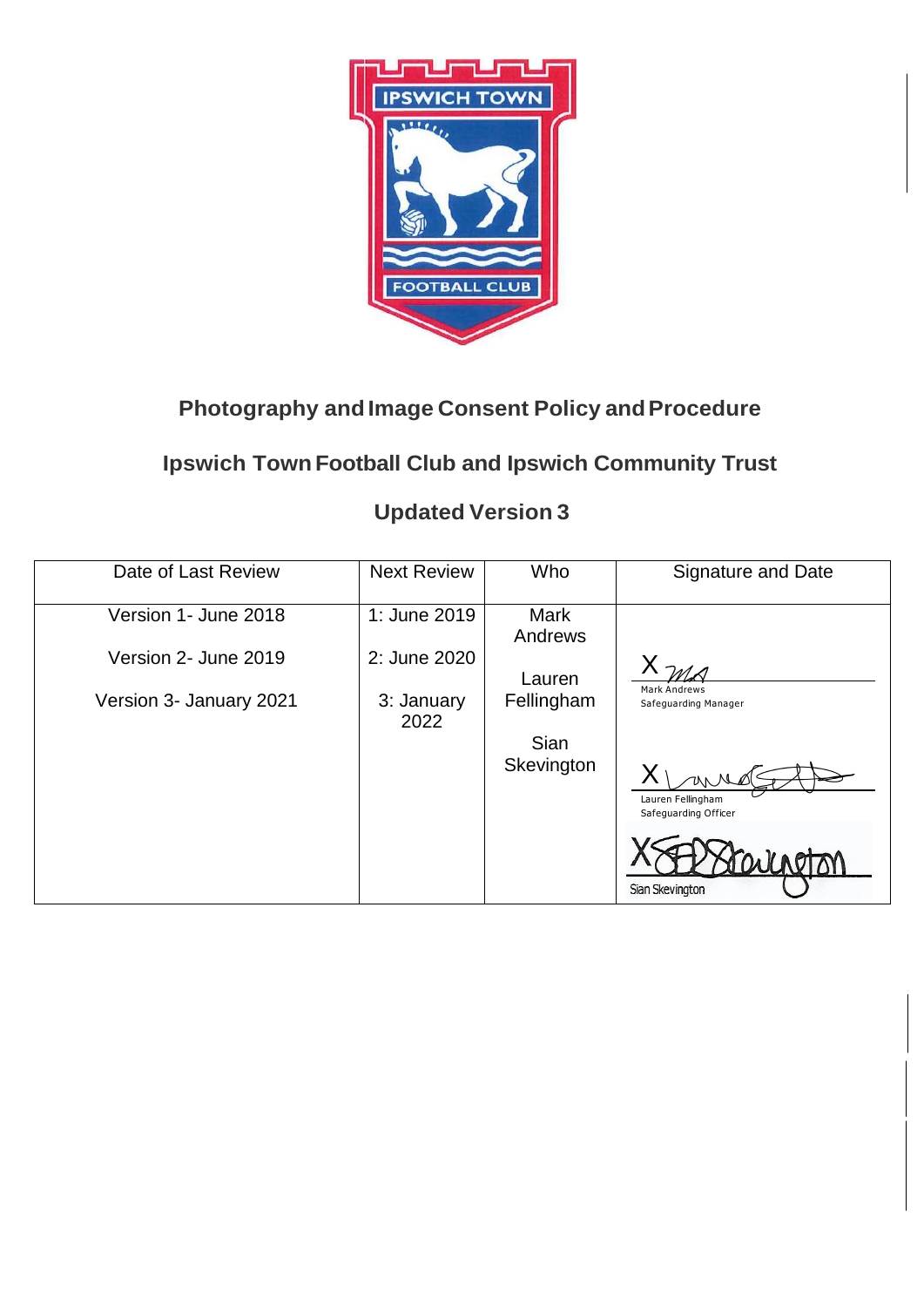

## **Photography and Image Consent Policy and Procedure**

## **Ipswich Town Football Club and Ipswich Community Trust**

## **Updated Version 3**

| Date of Last Review     | <b>Next Review</b> | Who                    | <b>Signature and Date</b>                         |
|-------------------------|--------------------|------------------------|---------------------------------------------------|
| Version 1- June 2018    | 1: June 2019       | <b>Mark</b><br>Andrews |                                                   |
| Version 2- June 2019    | 2: June 2020       | Lauren                 |                                                   |
| Version 3- January 2021 | 3: January<br>2022 | Fellingham             | <b>Mark Andrews</b><br>Safeguarding Manager       |
|                         |                    | Sian                   |                                                   |
|                         |                    | Skevington             | UNNA<br>Lauren Fellingham<br>Safeguarding Officer |
|                         |                    |                        | aineton<br>Sian Skevington                        |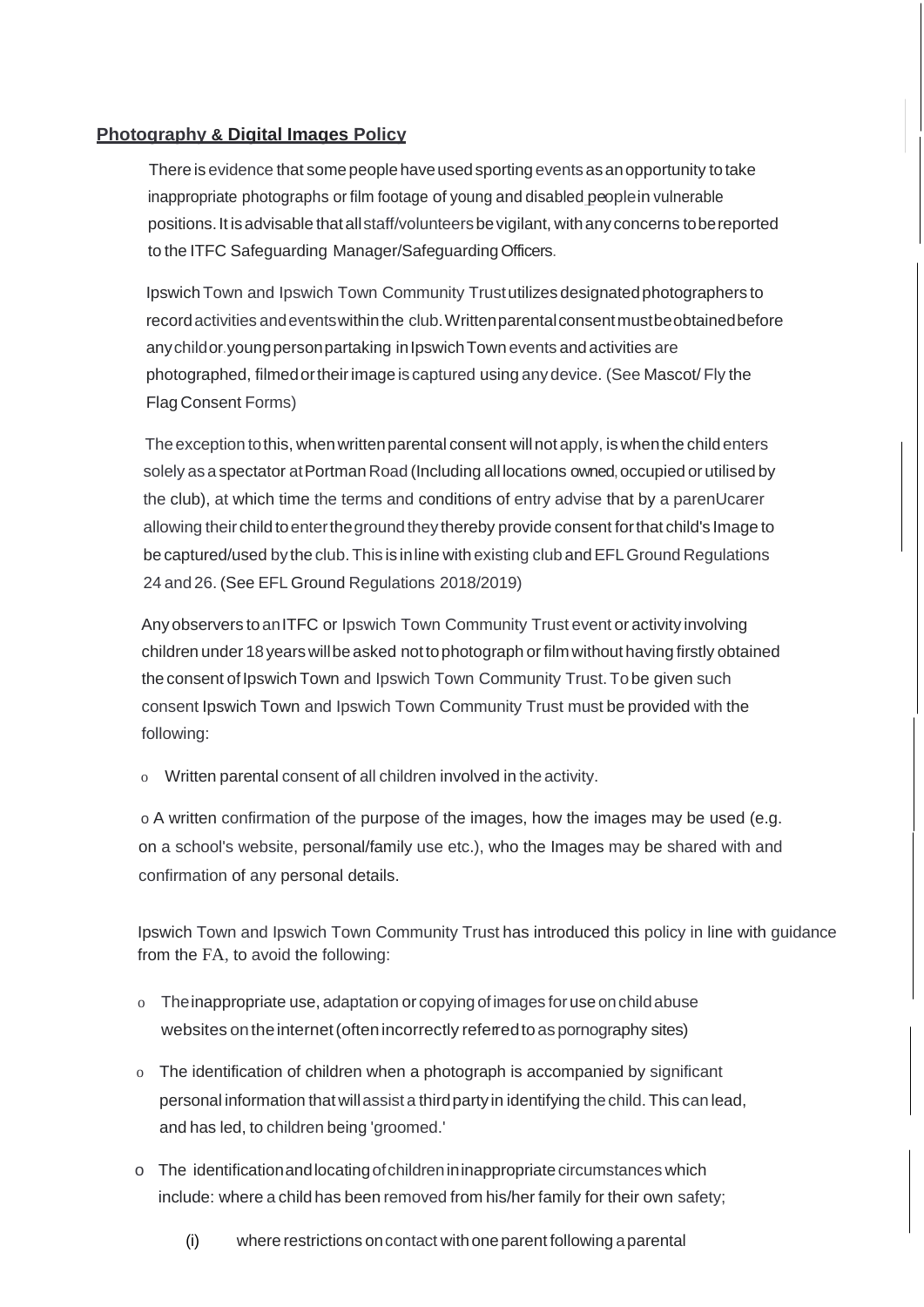## **Photography & Digital Images Policy**

There is evidence that some people have used sporting events as an opportunity to take inappropriate photographs or film footage of young and disabled\_peoplein vulnerable positions. It is advisable that all staff/volunteers be vigilant, with any concerns to be reported to the ITFC Safeguarding Manager/Safeguarding Officers.

Ipswich Town and Ipswich Town Community Trustutilizes designated photographers to recordactivities andeventswithinthe club.Writtenparentalconsentmustbeobtainedbefore anychildor.youngpersonpartaking inIpswichTown events andactivities are photographed, filmedortheirimage is captured using anydevice. (See Mascot/ Fly the Flag Consent Forms)

The exception to this, when written parental consent will not apply, is when the child enters solely as a spectator at Portman Road (Including all locations owned, occupied or utilised by the club), at which time the terms and conditions of entry advise that by a parenUcarer allowing theirchild toentertheground they thereby provide consent forthat child's Image to be captured/used bytheclub.This is inline withexisting clubandEFLGround Regulations 24 and 26. (See EFL Ground Regulations 2018/2019)

Anyobservers toanITFC or Ipswich Town Community Trust event or activity involving children under 18yearswillbeasked nottophotograph orfilm without having firstly obtained the consent of Ipswich Town and Ipswich Town Community Trust. To be given such consent Ipswich Town and Ipswich Town Community Trust must be provided with the following:

o Written parental consent of all children involved in theactivity.

o A written confirmation of the purpose of the images, how the images may be used (e.g. on a school's website, personal/family use etc.), who the Images may be shared with and confirmation of any personal details.

Ipswich Town and Ipswich Town Community Trust has introduced this policy in line with guidance from the FA, to avoid the following:

- o Theinappropriate use, adaptation or copying ofimages foruse onchildabuse websites on the internet (often incorrectly referred to as pornography sites)
- o The identification of children when a photograph is accompanied by significant personal information that willassist a thirdpartyin identifying thechild.This can lead, and has led, to children being 'groomed.'
- o The identificationandlocatingofchildrenininappropriatecircumstances which include: where a child has been removed from his/her family for their own safety;
	- (i) where restrictions oncontact withoneparent following aparental